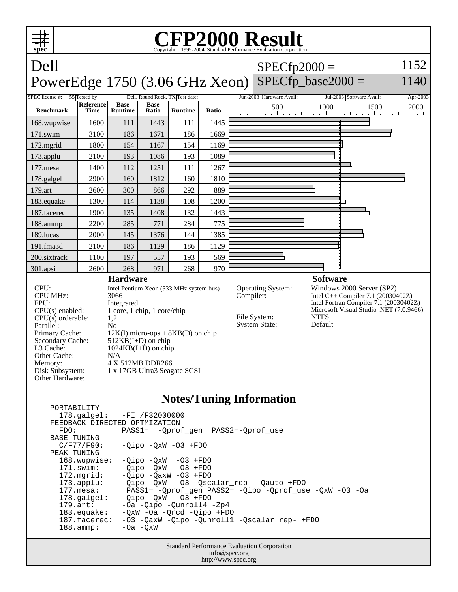

| FEEDBACK DIRECTED OPTMIZATION | $178.\text{qalgel}: -FI /F32000000$                    |
|-------------------------------|--------------------------------------------------------|
| FDO:                          | PASS1= -Oprof gen PASS2=-Oprof use                     |
| BASE TUNING                   |                                                        |
| C/F77/F90:                    | $-Oipo$ $-OxW$ $-O3$ $+FDO$                            |
| PEAK TUNING                   |                                                        |
| 168.wupwise:                  | $-Oipo -OXW -O3 + FDO$                                 |
| $171$ .swim:                  | $-Oipo$ $-OxW$ $-O3$ $+FDO$                            |
| $172.\text{mgrid}:$           | $-Oipo -OaxW -O3 + FDO$                                |
| $173.\text{applu}:$           | -Qipo -QxW -03 -Qscalar_rep- -Qauto +FDO               |
| $177.$ mesa:                  | PASS1= -Qprof_gen PASS2= -Qipo -Qprof_use -QxW -03 -Oa |
| $178.\text{qalgel}$ :         | $-Oipo$ $-OxW$ $-O3$ $+FDO$                            |
| $179.\text{art}$ :            | -Oa -Oipo -Ounroll4 -Zp4                               |
| $183$ .equake:                | $-0xW$ $-0a$ $-0rcd$ $-0ipo$ $+FDO$                    |
| 187.facerec:                  | -03 -OaxW -Oipo -Ounroll1 -Oscalar rep- +FDO           |
| $188.\text{amp}:$             | $-0a$ $-0xW$                                           |
|                               |                                                        |

Standard Performance Evaluation Corporation info@spec.org http://www.spec.org